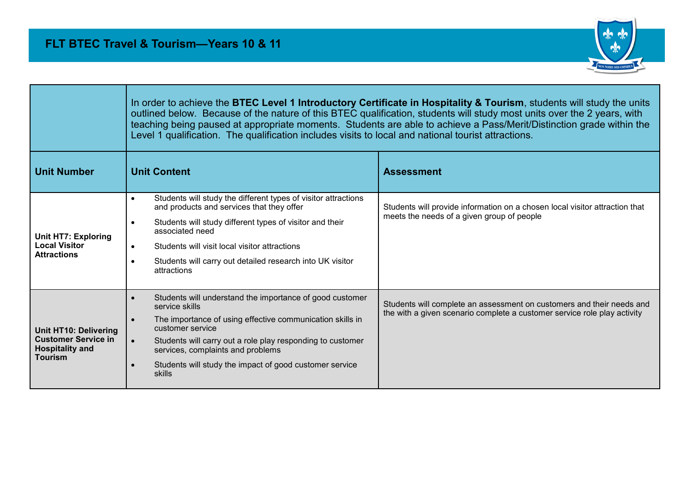

|                                                                                                 | In order to achieve the BTEC Level 1 Introductory Certificate in Hospitality & Tourism, students will study the units<br>outlined below. Because of the nature of this BTEC qualification, students will study most units over the 2 years, with<br>teaching being paused at appropriate moments. Students are able to achieve a Pass/Merit/Distinction grade within the<br>Level 1 qualification. The qualification includes visits to local and national tourist attractions. |                                                                                                                                                   |
|-------------------------------------------------------------------------------------------------|---------------------------------------------------------------------------------------------------------------------------------------------------------------------------------------------------------------------------------------------------------------------------------------------------------------------------------------------------------------------------------------------------------------------------------------------------------------------------------|---------------------------------------------------------------------------------------------------------------------------------------------------|
| <b>Unit Number</b>                                                                              | <b>Unit Content</b>                                                                                                                                                                                                                                                                                                                                                                                                                                                             | <b>Assessment</b>                                                                                                                                 |
| <b>Unit HT7: Exploring</b><br><b>Local Visitor</b><br><b>Attractions</b>                        | Students will study the different types of visitor attractions<br>$\bullet$<br>and products and services that they offer<br>Students will study different types of visitor and their<br>$\bullet$<br>associated need<br>Students will visit local visitor attractions<br>$\bullet$<br>Students will carry out detailed research into UK visitor<br>attractions                                                                                                                  | Students will provide information on a chosen local visitor attraction that<br>meets the needs of a given group of people                         |
| Unit HT10: Delivering<br><b>Customer Service in</b><br><b>Hospitality and</b><br><b>Tourism</b> | Students will understand the importance of good customer<br>service skills<br>The importance of using effective communication skills in<br>$\bullet$<br>customer service<br>Students will carry out a role play responding to customer<br>$\bullet$<br>services, complaints and problems<br>Students will study the impact of good customer service<br>$\bullet$<br>skills                                                                                                      | Students will complete an assessment on customers and their needs and<br>the with a given scenario complete a customer service role play activity |